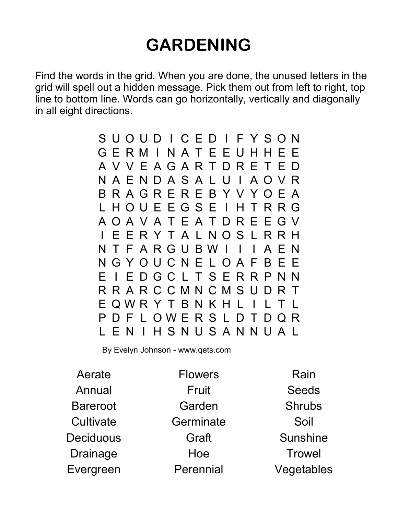## GARDENING

Find the words in the grid. When you are done, the unused letters in the grid will spell out a hidden message. Pick them out from left to right, top line to bottom line. Words can go horizontally, vertically and diagonally in all eight directions.

> S U O U D I C E D I F Y S O N G E R M I N A T E E U H H E E A V V E A G A R T D R E T E D N A E N D A S A L U I A O V R B R A G R E R E B Y V Y O E A L H O U E E G S E I H T R R G A O A V A T E A T D R E E G V I E E R Y T A L N O S L R R H N T F A R G U B W I I I A E N N G Y O U C N E L O A F B E E E I E D G C L T S E R R P N N R R A R C C M N C M S U D R T E Q W R Y T B N K H L I L T L P D F L O W E R S L D T D Q R L E N I H S N U S A N N U A L

By Evelyn Johnson - www.qets.com

Aerate Annual Bareroot **Cultivate Deciduous** Drainage Evergreen

**Flowers** Fruit Garden **Germinate** Graft Hoe Perennial

Rain Seeds Shrubs Soil Sunshine **Trowel** Vegetables